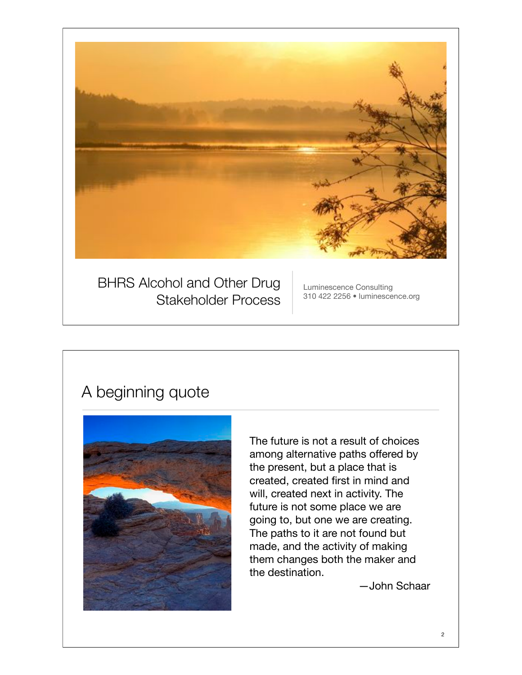

### A beginning quote



The future is not a result of choices among alternative paths offered by the present, but a place that is created, created first in mind and will, created next in activity. The future is not some place we are going to, but one we are creating. The paths to it are not found but made, and the activity of making them changes both the maker and the destination.

—John Schaar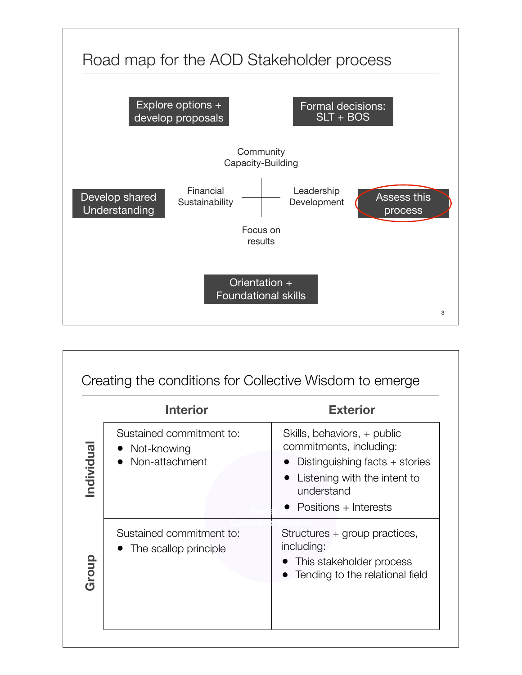

|            | <b>Interior</b>                                           | <b>Exterior</b>                                                                                                                                                 |
|------------|-----------------------------------------------------------|-----------------------------------------------------------------------------------------------------------------------------------------------------------------|
| Individual | Sustained commitment to:<br>Not-knowing<br>Non-attachment | Skills, behaviors, + public<br>commitments, including:<br>Distinguishing facts + stories<br>Listening with the intent to<br>understand<br>Positions + Interests |
| Group      | Sustained commitment to:<br>The scallop principle         | Structures + group practices,<br>including:<br>This stakeholder process<br>Tending to the relational field                                                      |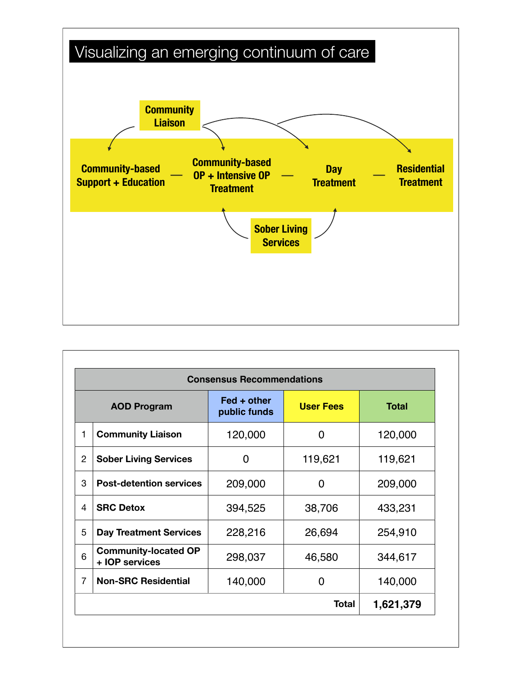

| <b>Consensus Recommendations</b> |                                               |                                                 |                  |              |  |  |  |
|----------------------------------|-----------------------------------------------|-------------------------------------------------|------------------|--------------|--|--|--|
| <b>AOD Program</b>               |                                               | $\textsf{Fed} + \textsf{other}$<br>public funds | <b>User Fees</b> | <b>Total</b> |  |  |  |
| 1                                | <b>Community Liaison</b>                      | 120,000                                         | 0                | 120,000      |  |  |  |
| $\overline{2}$                   | <b>Sober Living Services</b>                  | 0                                               | 119,621          | 119,621      |  |  |  |
| 3                                | <b>Post-detention services</b>                | 209,000                                         | O                | 209,000      |  |  |  |
| 4                                | <b>SRC Detox</b>                              | 394,525                                         | 38,706           | 433,231      |  |  |  |
| 5                                | <b>Day Treatment Services</b>                 | 228,216                                         | 26,694           | 254,910      |  |  |  |
| 6                                | <b>Community-located OP</b><br>+ IOP services | 298,037                                         | 46,580           | 344,617      |  |  |  |
| 7                                | <b>Non-SRC Residential</b>                    | 140,000                                         | 0                | 140,000      |  |  |  |
|                                  |                                               |                                                 | <b>Total</b>     | 1,621,379    |  |  |  |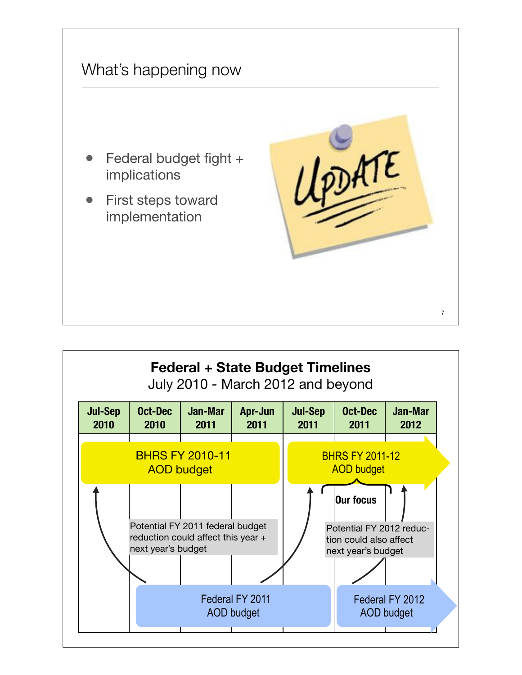

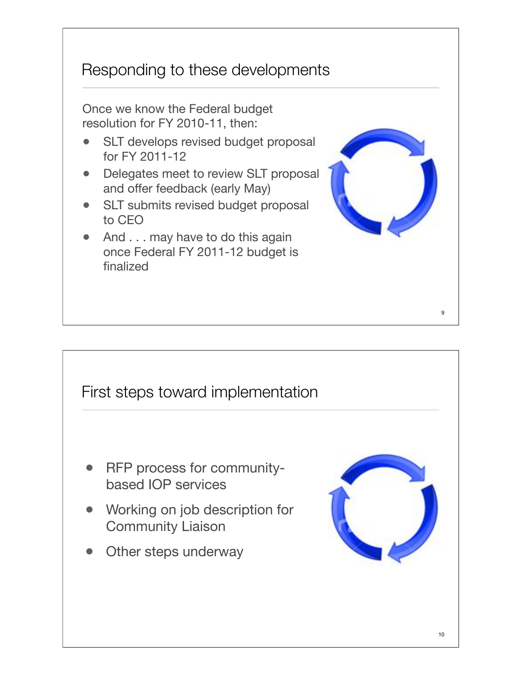### Responding to these developments

Once we know the Federal budget resolution for FY 2010-11, then:

- SLT develops revised budget proposal for FY 2011-12
- Delegates meet to review SLT proposal and offer feedback (early May)
- SLT submits revised budget proposal to CEO
- And . . . may have to do this again once Federal FY 2011-12 budget is finalized



#### First steps toward implementation

- RFP process for communitybased IOP services
- Working on job description for Community Liaison
- Other steps underway



9